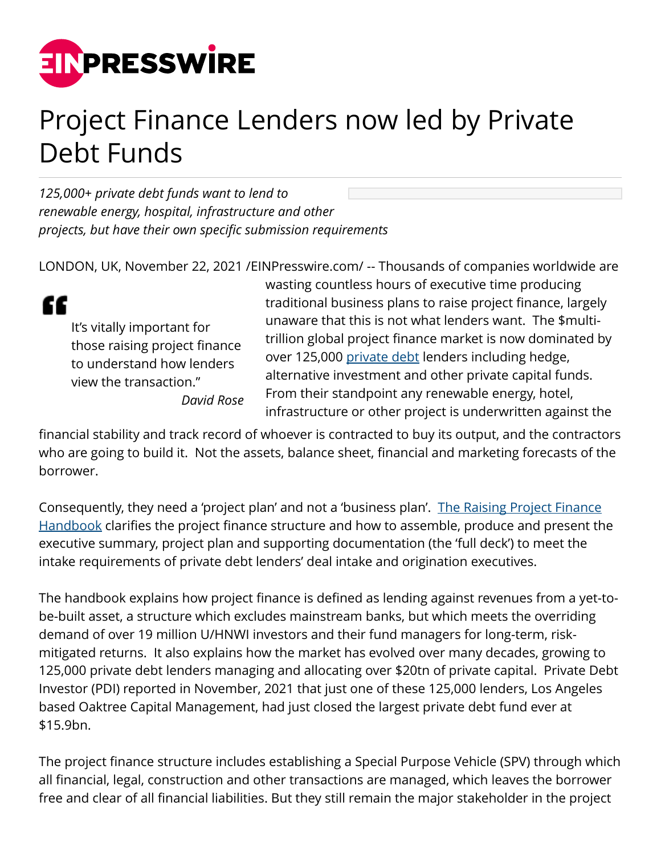

## Project Finance Lenders now led by Private Debt Funds

*125,000+ private debt funds want to lend to renewable energy, hospital, infrastructure and other projects, but have their own specific submission requirements* 

LONDON, UK, November 22, 2021 [/EINPresswire.com/](http://www.einpresswire.com) -- Thousands of companies worldwide are



It's vitally important for those raising project finance to understand how lenders view the transaction." *David Rose* wasting countless hours of executive time producing traditional business plans to raise project finance, largely unaware that this is not what lenders want. The \$multitrillion global project finance market is now dominated by over 125,000 [private debt](https://projectfinanceexchange.com/financiers) lenders including hedge, alternative investment and other private capital funds. From their standpoint any renewable energy, hotel, infrastructure or other project is underwritten against the

financial stability and track record of whoever is contracted to buy its output, and the contractors who are going to build it. Not the assets, balance sheet, financial and marketing forecasts of the borrower.

Consequently, they need a 'project plan' and not a 'business plan'. [The Raising Project Finance](https://projectfinanceexchange.com/handbook) [Handbook](https://projectfinanceexchange.com/handbook) clarifies the project finance structure and how to assemble, produce and present the executive summary, project plan and supporting documentation (the 'full deck') to meet the intake requirements of private debt lenders' deal intake and origination executives.

The handbook explains how project finance is defined as lending against revenues from a yet-tobe-built asset, a structure which excludes mainstream banks, but which meets the overriding demand of over 19 million U/HNWI investors and their fund managers for long-term, riskmitigated returns. It also explains how the market has evolved over many decades, growing to 125,000 private debt lenders managing and allocating over \$20tn of private capital. Private Debt Investor (PDI) reported in November, 2021 that just one of these 125,000 lenders, Los Angeles based Oaktree Capital Management, had just closed the largest private debt fund ever at \$15.9bn.

The project finance structure includes establishing a Special Purpose Vehicle (SPV) through which all financial, legal, construction and other transactions are managed, which leaves the borrower free and clear of all financial liabilities. But they still remain the major stakeholder in the project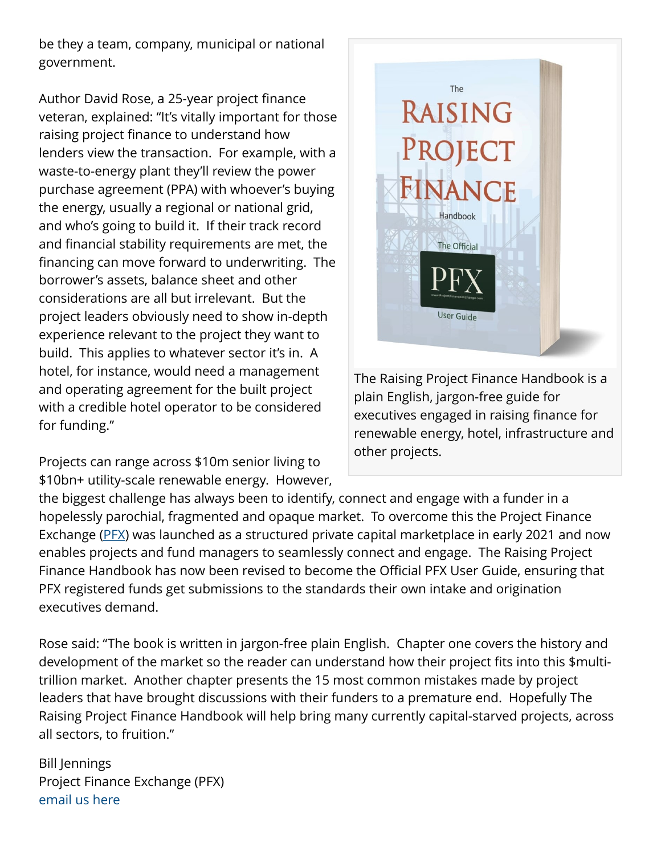be they a team, company, municipal or national government.

Author David Rose, a 25-year project finance veteran, explained: "It's vitally important for those raising project finance to understand how lenders view the transaction. For example, with a waste-to-energy plant they'll review the power purchase agreement (PPA) with whoever's buying the energy, usually a regional or national grid, and who's going to build it. If their track record and financial stability requirements are met, the financing can move forward to underwriting. The borrower's assets, balance sheet and other considerations are all but irrelevant. But the project leaders obviously need to show in-depth experience relevant to the project they want to build. This applies to whatever sector it's in. A hotel, for instance, would need a management and operating agreement for the built project with a credible hotel operator to be considered for funding."

Projects can range across \$10m senior living to \$10bn+ utility-scale renewable energy. However,



The Raising Project Finance Handbook is a plain English, jargon-free guide for executives engaged in raising finance for renewable energy, hotel, infrastructure and other projects.

the biggest challenge has always been to identify, connect and engage with a funder in a hopelessly parochial, fragmented and opaque market. To overcome this the Project Finance Exchange ([PFX](https://projectfinanceexchange.com)) was launched as a structured private capital marketplace in early 2021 and now enables projects and fund managers to seamlessly connect and engage. The Raising Project Finance Handbook has now been revised to become the Official PFX User Guide, ensuring that PFX registered funds get submissions to the standards their own intake and origination executives demand.

Rose said: "The book is written in jargon-free plain English. Chapter one covers the history and development of the market so the reader can understand how their project fits into this \$multitrillion market. Another chapter presents the 15 most common mistakes made by project leaders that have brought discussions with their funders to a premature end. Hopefully The Raising Project Finance Handbook will help bring many currently capital-starved projects, across all sectors, to fruition."

Bill Jennings Project Finance Exchange (PFX) [email us here](http://www.einpresswire.com/contact_author/3202422)